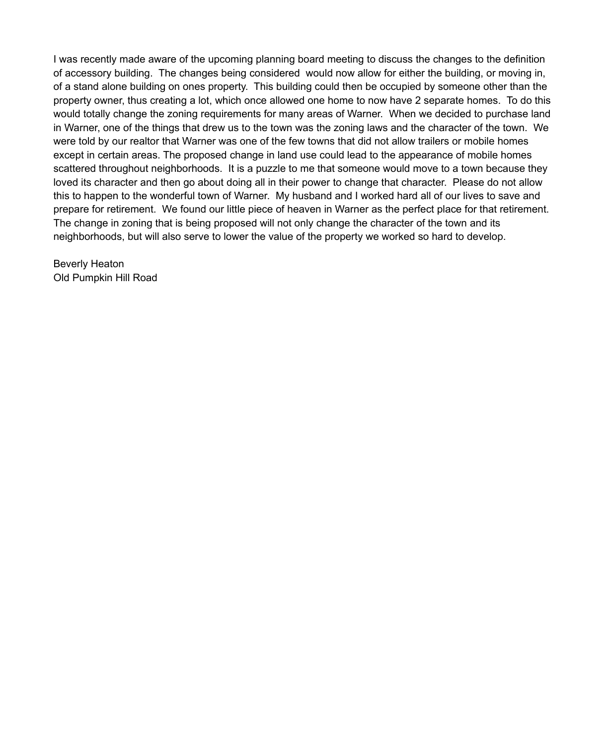I was recently made aware of the upcoming planning board meeting to discuss the changes to the definition of accessory building. The changes being considered would now allow for either the building, or moving in, of a stand alone building on ones property. This building could then be occupied by someone other than the property owner, thus creating a lot, which once allowed one home to now have 2 separate homes. To do this would totally change the zoning requirements for many areas of Warner. When we decided to purchase land in Warner, one of the things that drew us to the town was the zoning laws and the character of the town. We were told by our realtor that Warner was one of the few towns that did not allow trailers or mobile homes except in certain areas. The proposed change in land use could lead to the appearance of mobile homes scattered throughout neighborhoods. It is a puzzle to me that someone would move to a town because they loved its character and then go about doing all in their power to change that character. Please do not allow this to happen to the wonderful town of Warner. My husband and I worked hard all of our lives to save and prepare for retirement. We found our little piece of heaven in Warner as the perfect place for that retirement. The change in zoning that is being proposed will not only change the character of the town and its neighborhoods, but will also serve to lower the value of the property we worked so hard to develop.

Beverly Heaton Old Pumpkin Hill Road